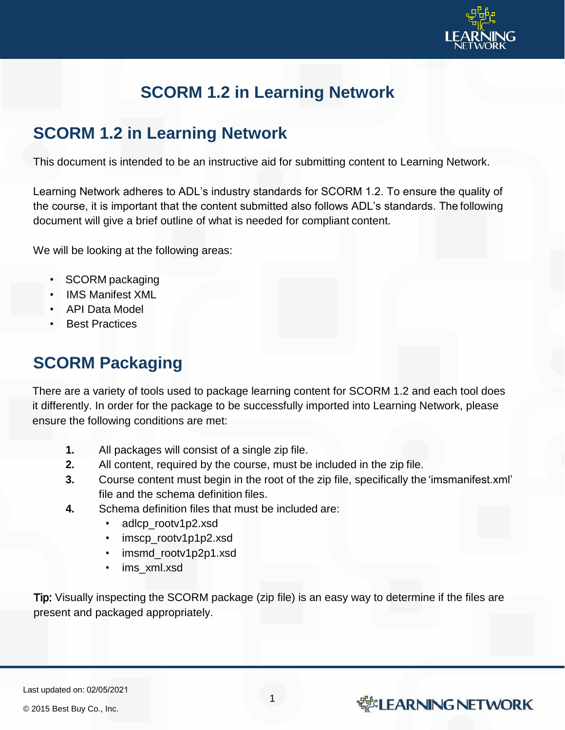

# **SCORM 1.2 in Learning Network**

#### **SCORM 1.2 in Learning Network**

This document is intended to be an instructive aid for submitting content to Learning Network.

Learning Network adheres to ADL's industry standards for SCORM 1.2. To ensure the quality of the course, it is important that the content submitted also follows ADL's standards. The following document will give a brief outline of what is needed for compliant content.

We will be looking at the following areas:

- SCORM packaging
- IMS Manifest XML
- API Data Model
- **Best Practices**

### **SCORM Packaging**

There are a variety of tools used to package learning content for SCORM 1.2 and each tool does it differently. In order for the package to be successfully imported into Learning Network, please ensure the following conditions are met:

- **1.** All packages will consist of a single zip file.
- **2.** All content, required by the course, must be included in the zip file.
- **3.** Course content must begin in the root of the zip file, specifically the 'imsmanifest.xml' file and the schema definition files.
- **4.** Schema definition files that must be included are:
	- adlcp\_rootv1p2.xsd
	- imscp\_rootv1p1p2.xsd
	- imsmd\_rootv1p2p1.xsd
	- ims\_xml.xsd

Tip: Visually inspecting the SCORM package (zip file) is an easy way to determine if the files are present and packaged appropriately.

1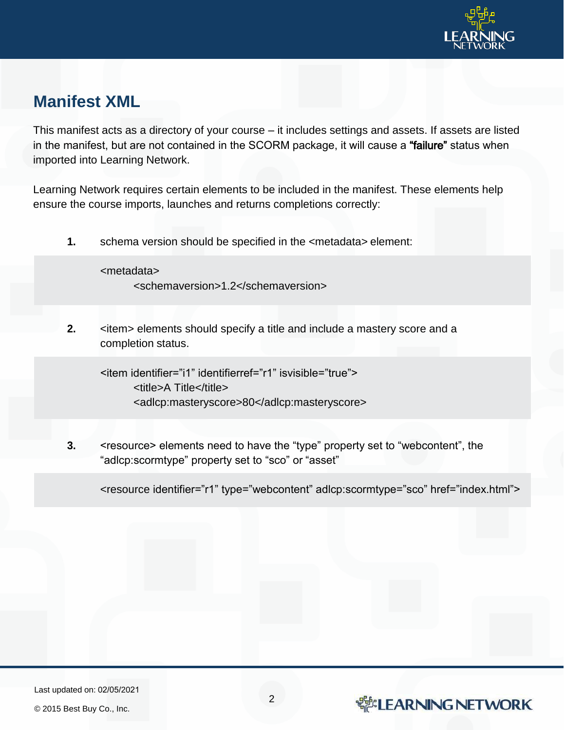

### **Manifest XML**

This manifest acts as a directory of your course – it includes settings and assets. If assets are listed in the manifest, but are not contained in the SCORM package, it will cause a "failure" status when imported into Learning Network.

Learning Network requires certain elements to be included in the manifest. These elements help ensure the course imports, launches and returns completions correctly:

**1.** schema version should be specified in the <metadata> element:

<metadata> <schemaversion>1.2</schemaversion>

**2.**  $\leq$  <item> elements should specify a title and include a mastery score and a completion status.

<item identifier="i1" identifierref="r1" isvisible="true"> <title>A Title</title> <adlcp:masteryscore>80</adlcp:masteryscore>

**3.** <resource> elements need to have the "type" property set to "webcontent", the "adlcp:scormtype" property set to "sco" or "asset"

<resource identifier="r1" type="webcontent" adlcp:scormtype="sco" href="index.html">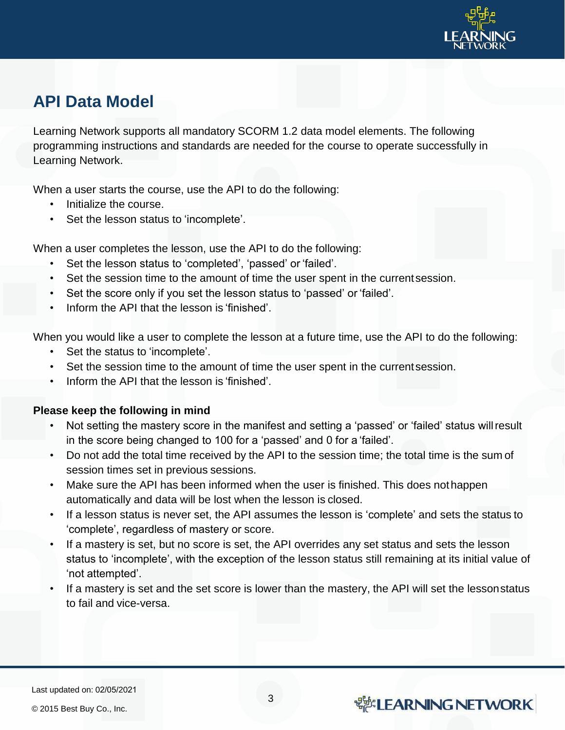

## **API Data Model**

Learning Network supports all mandatory SCORM 1.2 data model elements. The following programming instructions and standards are needed for the course to operate successfully in Learning Network.

When a user starts the course, use the API to do the following:

- Initialize the course.
- Set the lesson status to 'incomplete'.

When a user completes the lesson, use the API to do the following:

- Set the lesson status to 'completed', 'passed' or 'failed'.
- Set the session time to the amount of time the user spent in the current session.
- Set the score only if you set the lesson status to 'passed' or 'failed'.
- Inform the API that the lesson is 'finished'.

When you would like a user to complete the lesson at a future time, use the API to do the following:

- Set the status to 'incomplete'.
- Set the session time to the amount of time the user spent in the current session.
- Inform the API that the lesson is 'finished'.

#### **Please keep the following in mind**

- Not setting the mastery score in the manifest and setting a 'passed' or 'failed' status willresult in the score being changed to 100 for a 'passed' and 0 for a 'failed'.
- Do not add the total time received by the API to the session time; the total time is the sum of session times set in previous sessions.
- Make sure the API has been informed when the user is finished. This does not happen automatically and data will be lost when the lesson is closed.
- If a lesson status is never set, the API assumes the lesson is 'complete' and sets the status to 'complete', regardless of mastery or score.
- If a mastery is set, but no score is set, the API overrides any set status and sets the lesson status to 'incomplete', with the exception of the lesson status still remaining at its initial value of 'not attempted'.
- If a mastery is set and the set score is lower than the mastery, the API will set the lesson status to fail and vice-versa.